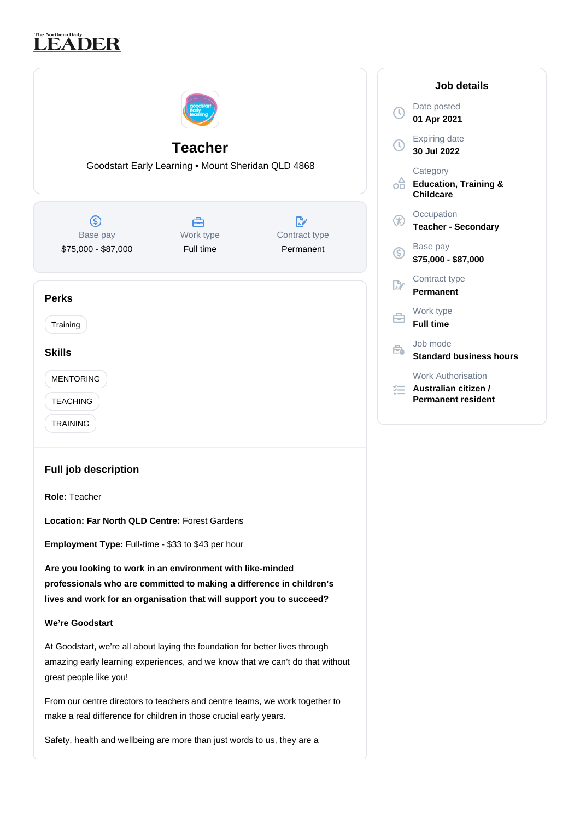# The Northern Daily<br>LEADER



**Employment Type:** Full-time - \$33 to \$43 per hour

**Are you looking to work in an environment with like-minded professionals who are committed to making a difference in children's lives and work for an organisation that will support you to succeed?**

## **We're Goodstart**

At Goodstart, we're all about laying the foundation for better lives through amazing early learning experiences, and we know that we can't do that without great people like you!

From our centre directors to teachers and centre teams, we work together to make a real difference for children in those crucial early years.

Safety, health and wellbeing are more than just words to us, they are a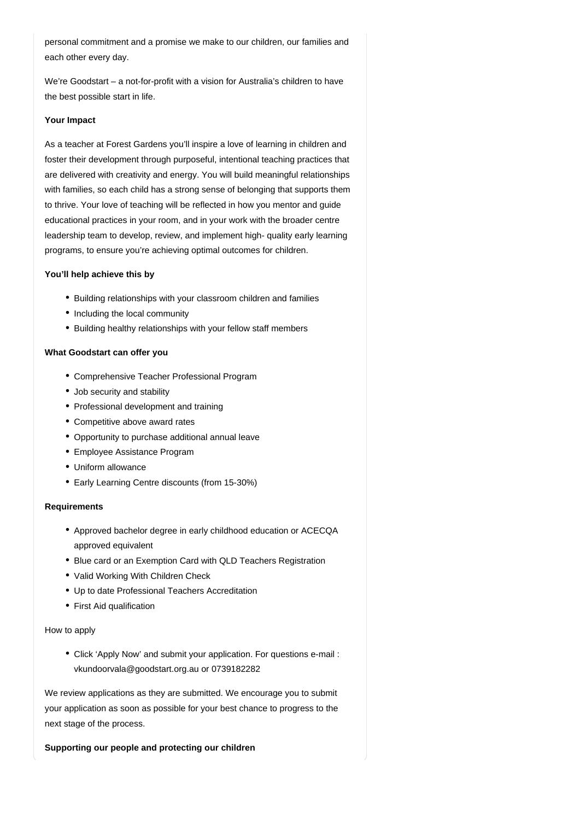personal commitment and a promise we make to our children, our families and each other every day.

We're Goodstart – a not-for-profit with a vision for Australia's children to have the best possible start in life.

### **Your Impact**

As a teacher at Forest Gardens you'll inspire a love of learning in children and foster their development through purposeful, intentional teaching practices that are delivered with creativity and energy. You will build meaningful relationships with families, so each child has a strong sense of belonging that supports them to thrive. Your love of teaching will be reflected in how you mentor and guide educational practices in your room, and in your work with the broader centre leadership team to develop, review, and implement high- quality early learning programs, to ensure you're achieving optimal outcomes for children.

## **You'll help achieve this by**

- Building relationships with your classroom children and families
- Including the local community
- Building healthy relationships with your fellow staff members

## **What Goodstart can offer you**

- Comprehensive Teacher Professional Program
- Job security and stability
- Professional development and training
- Competitive above award rates
- Opportunity to purchase additional annual leave
- Employee Assistance Program
- Uniform allowance
- Early Learning Centre discounts (from 15-30%)

#### **Requirements**

- Approved bachelor degree in early childhood education or ACECQA approved equivalent
- Blue card or an Exemption Card with QLD Teachers Registration
- Valid Working With Children Check
- Up to date Professional Teachers Accreditation
- First Aid qualification

#### How to apply

Click 'Apply Now' and submit your application. For questions e-mail : vkundoorvala@goodstart.org.au or 0739182282

We review applications as they are submitted. We encourage you to submit your application as soon as possible for your best chance to progress to the next stage of the process.

**Supporting our people and protecting our children**